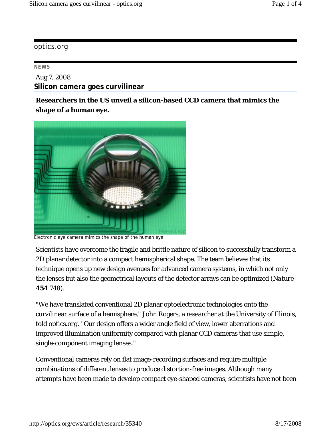## optics.org

## **NEWS**

Aug 7, 2008 **Silicon camera goes curvilinear**

**Researchers in the US unveil a silicon-based CCD camera that mimics the shape of a human eye.** 



Electronic eye camera mimics the shape of the human eye

Scientists have overcome the fragile and brittle nature of silicon to successfully transform a 2D planar detector into a compact hemispherical shape. The team believes that its technique opens up new design avenues for advanced camera systems, in which not only the lenses but also the geometrical layouts of the detector arrays can be optimized (*Nature* **454** 748).

"We have translated conventional 2D planar optoelectronic technologies onto the curvilinear surface of a hemisphere," John Rogers, a researcher at the University of Illinois, told *optics.org*. "Our design offers a wider angle field of view, lower aberrations and improved illumination uniformity compared with planar CCD cameras that use simple, single-component imaging lenses."

Conventional cameras rely on flat image-recording surfaces and require multiple combinations of different lenses to produce distortion-free images. Although many attempts have been made to develop compact eye-shaped cameras, scientists have not been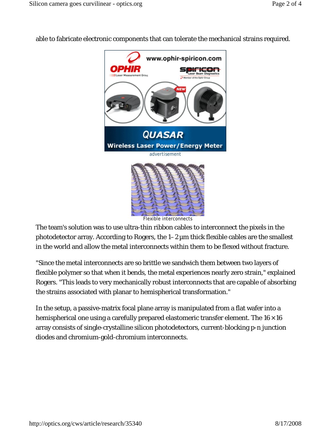

able to fabricate electronic components that can tolerate the mechanical strains required.

Flexible interconnects

The team's solution was to use ultra-thin ribbon cables to interconnect the pixels in the photodetector array. According to Rogers, the  $1-2 \mu m$  thick flexible cables are the smallest in the world and allow the metal interconnects within them to be flexed without fracture.

"Since the metal interconnects are so brittle we sandwich them between two layers of flexible polymer so that when it bends, the metal experiences nearly zero strain," explained Rogers. "This leads to very mechanically robust interconnects that are capable of absorbing the strains associated with planar to hemispherical transformation."

In the setup, a passive-matrix focal plane array is manipulated from a flat wafer into a hemispherical one using a carefully prepared elastomeric transfer element. The  $16 \times 16$ array consists of single-crystalline silicon photodetectors, current-blocking p-n junction diodes and chromium-gold-chromium interconnects.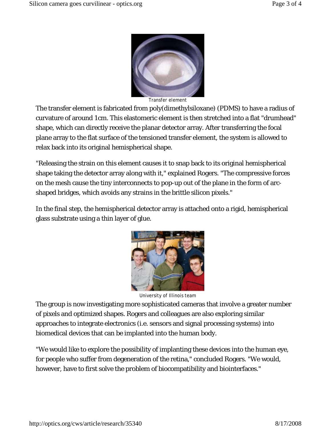

Transfer element

The transfer element is fabricated from poly(dimethylsiloxane) (PDMS) to have a radius of curvature of around 1 cm. This elastomeric element is then stretched into a flat "drumhead" shape, which can directly receive the planar detector array. After transferring the focal plane array to the flat surface of the tensioned transfer element, the system is allowed to relax back into its original hemispherical shape.

"Releasing the strain on this element causes it to snap back to its original hemispherical shape taking the detector array along with it," explained Rogers. "The compressive forces on the mesh cause the tiny interconnects to pop-up out of the plane in the form of arcshaped bridges, which avoids any strains in the brittle silicon pixels."

In the final step, the hemispherical detector array is attached onto a rigid, hemispherical glass substrate using a thin layer of glue.



University of Illinois team

The group is now investigating more sophisticated cameras that involve a greater number of pixels and optimized shapes. Rogers and colleagues are also exploring similar approaches to integrate electronics (i.e. sensors and signal processing systems) into biomedical devices that can be implanted into the human body.

"We would like to explore the possibility of implanting these devices into the human eye, for people who suffer from degeneration of the retina," concluded Rogers. "We would, however, have to first solve the problem of biocompatibility and biointerfaces."